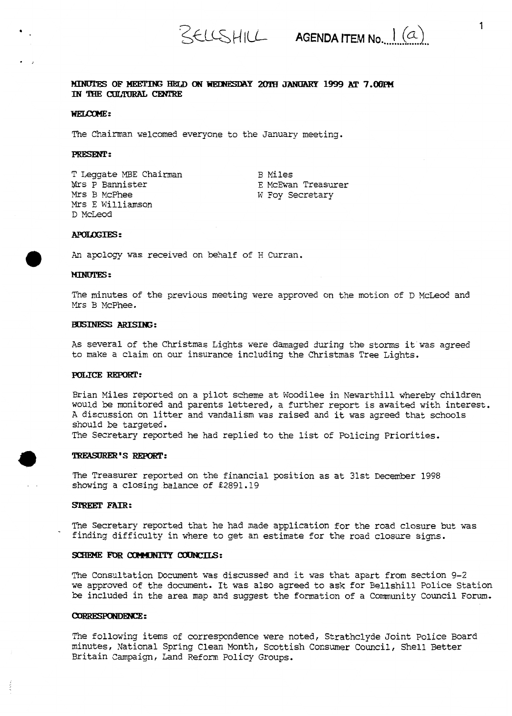## MINUTES OF MEETING HELD ON WEINESDAY 20TH JANUARY 1999 AT 7.00PM IN THE CULTURAL CENTRE

#### WELCOME:

The Chairman welcomed everyone to the January meeting.

## PRESENT:

T Leggate MBE Chairman Mrs P Bannister *Mrs* B McPhee *Mrs* E Williamson D McLeod

B Miles E McEwan Treasurer W Foy Secretary

## **APOLOGIES:**

**.An** apology was received on behalf of H Curran.

#### **MINUTES:**

The minutes of the previous meeting were approved on the motion of D McLeod and *Mrs* B McPhee.

#### **BUSINESS ARISING:**

**As** several of the Christmas Lights were damaged during the storms it was agreed to make a claim on our insurance including the Christmas Tree Lights.

## **POLICE REPORT:**

Brian Miles reported on a pilot scheme at Woodilee in Newarthill whereby children would be monitored and parents lettered, a further report **is** awaited with interest. **<sup>A</sup>**discussion on litter and vandalism **was** raised and it was agreed that schools should **be** targeted.

The Secretary reported he had replied to the list of Policing Priorities.

#### **TREASURER'S REPORT:**

The Treasurer reported on the financial position as at 31st December 1998 showing a closing balance *of E2891.19* 

## STREET FAIR:

The Secretary reported that he had made application for the road closure but was finding difficulty in where to get an estimate for the road closure signs.

#### SCHEME FOR COMMUNITY COUNCILS:

The Consultation Document was discussed and it was that apart from section 9-2 we approved of the document. It was also agreed to ask for Bellshill Police Station **be** included in the area map and suggest the formation of a Community Council Forum.

## **CORRESPONDENCE:**

The following items of correspondence were noted, Strathclyde Joint Police Board minutes, National Spring Clean **Month,** Scottish Consumer Council, Shell Better Britain Campaign, Land Reform Policy Groups.